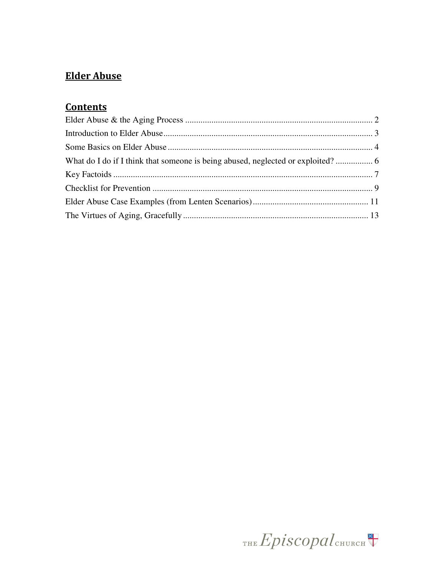# **Elder Abuse**

# **Contents**

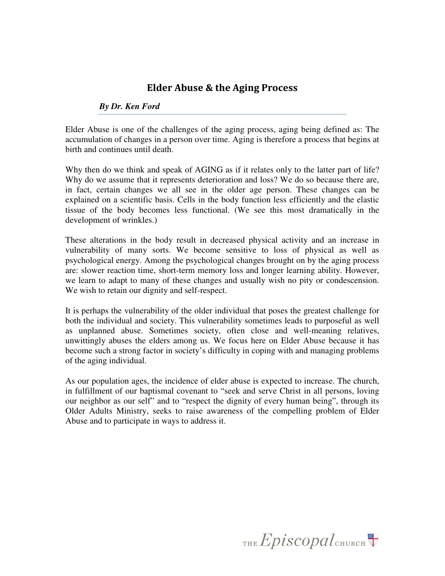## Elder Abuse & the Aging Process

### *By Dr. Ken Ford*

Elder Abuse is one of the challenges of the aging process, aging being defined as: The accumulation of changes in a person over time. Aging is therefore a process that begins at birth and continues until death.

Why then do we think and speak of AGING as if it relates only to the latter part of life? Why do we assume that it represents deterioration and loss? We do so because there are, in fact, certain changes we all see in the older age person. These changes can be explained on a scientific basis. Cells in the body function less efficiently and the elastic tissue of the body becomes less functional. (We see this most dramatically in the development of wrinkles.)

These alterations in the body result in decreased physical activity and an increase in vulnerability of many sorts. We become sensitive to loss of physical as well as psychological energy. Among the psychological changes brought on by the aging process are: slower reaction time, short-term memory loss and longer learning ability. However, we learn to adapt to many of these changes and usually wish no pity or condescension. We wish to retain our dignity and self-respect.

It is perhaps the vulnerability of the older individual that poses the greatest challenge for both the individual and society. This vulnerability sometimes leads to purposeful as well as unplanned abuse. Sometimes society, often close and well-meaning relatives, unwittingly abuses the elders among us. We focus here on Elder Abuse because it has become such a strong factor in society's difficulty in coping with and managing problems of the aging individual.

As our population ages, the incidence of elder abuse is expected to increase. The church, in fulfillment of our baptismal covenant to "seek and serve Christ in all persons, loving our neighbor as our self" and to "respect the dignity of every human being", through its Older Adults Ministry, seeks to raise awareness of the compelling problem of Elder Abuse and to participate in ways to address it.

THE  $Epis copal$ <sub>CHURCH</sub>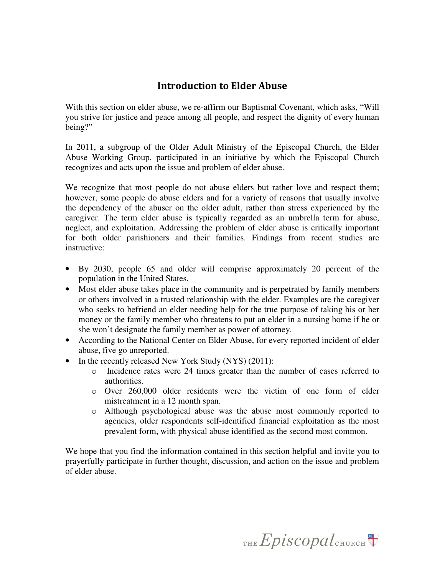## Introduction to Elder Abuse

With this section on elder abuse, we re-affirm our Baptismal Covenant, which asks, "Will you strive for justice and peace among all people, and respect the dignity of every human being?"

In 2011, a subgroup of the Older Adult Ministry of the Episcopal Church, the Elder Abuse Working Group, participated in an initiative by which the Episcopal Church recognizes and acts upon the issue and problem of elder abuse.

We recognize that most people do not abuse elders but rather love and respect them; however, some people do abuse elders and for a variety of reasons that usually involve the dependency of the abuser on the older adult, rather than stress experienced by the caregiver. The term elder abuse is typically regarded as an umbrella term for abuse, neglect, and exploitation. Addressing the problem of elder abuse is critically important for both older parishioners and their families. Findings from recent studies are instructive:

- By 2030, people 65 and older will comprise approximately 20 percent of the population in the United States.
- Most elder abuse takes place in the community and is perpetrated by family members or others involved in a trusted relationship with the elder. Examples are the caregiver who seeks to befriend an elder needing help for the true purpose of taking his or her money or the family member who threatens to put an elder in a nursing home if he or she won't designate the family member as power of attorney.
- According to the National Center on Elder Abuse, for every reported incident of elder abuse, five go unreported.
- In the recently released New York Study (NYS) (2011):
	- o Incidence rates were 24 times greater than the number of cases referred to authorities.
	- o Over 260,000 older residents were the victim of one form of elder mistreatment in a 12 month span.
	- o Although psychological abuse was the abuse most commonly reported to agencies, older respondents self-identified financial exploitation as the most prevalent form, with physical abuse identified as the second most common.

We hope that you find the information contained in this section helpful and invite you to prayerfully participate in further thought, discussion, and action on the issue and problem of elder abuse.

THE Episcopal CHURCH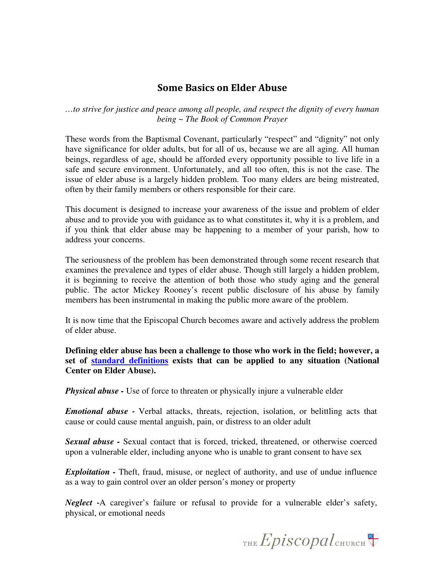### Some Basics on Elder Abuse

*…to strive for justice and peace among all people, and respect the dignity of every human being ~ The Book of Common Prayer* 

These words from the Baptismal Covenant, particularly "respect" and "dignity" not only have significance for older adults, but for all of us, because we are all aging. All human beings, regardless of age, should be afforded every opportunity possible to live life in a safe and secure environment. Unfortunately, and all too often, this is not the case. The issue of elder abuse is a largely hidden problem. Too many elders are being mistreated, often by their family members or others responsible for their care.

This document is designed to increase your awareness of the issue and problem of elder abuse and to provide you with guidance as to what constitutes it, why it is a problem, and if you think that elder abuse may be happening to a member of your parish, how to address your concerns.

The seriousness of the problem has been demonstrated through some recent research that examines the prevalence and types of elder abuse. Though still largely a hidden problem, it is beginning to receive the attention of both those who study aging and the general public. The actor Mickey Rooney's recent public disclosure of his abuse by family members has been instrumental in making the public more aware of the problem.

It is now time that the Episcopal Church becomes aware and actively address the problem of elder abuse.

**Defining elder abuse has been a challenge to those who work in the field; however, a set of standard definitions exists that can be applied to any situation (National Center on Elder Abuse).** 

*Physical abuse -* Use of force to threaten or physically injure a vulnerable elder

*Emotional abuse* - Verbal attacks, threats, rejection, isolation, or belittling acts that cause or could cause mental anguish, pain, or distress to an older adult

*Sexual abuse -* Sexual contact that is forced, tricked, threatened, or otherwise coerced upon a vulnerable elder, including anyone who is unable to grant consent to have sex

*Exploitation -* Theft, fraud, misuse, or neglect of authority, and use of undue influence as a way to gain control over an older person's money or property

*Neglect* -A caregiver's failure or refusal to provide for a vulnerable elder's safety, physical, or emotional needs

THE  $Epis copal$ <sub>CHURCH</sub>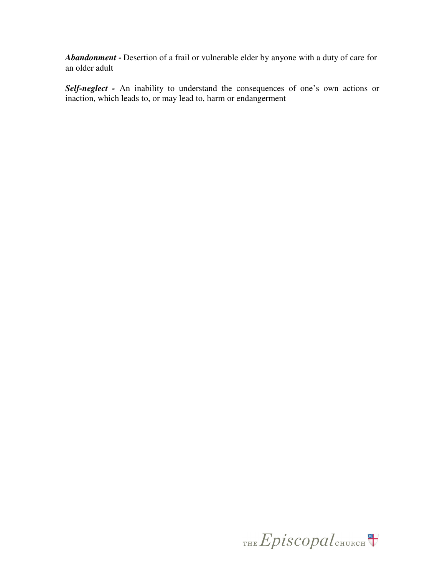*Abandonment* - Desertion of a frail or vulnerable elder by anyone with a duty of care for an older adult

*Self-neglect -* An inability to understand the consequences of one's own actions or inaction, which leads to, or may lead to, harm or endangerment

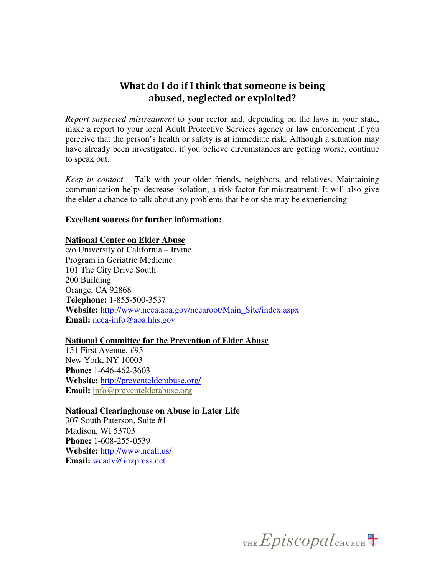## What do I do if I think that someone is being abused, neglected or exploited?

*Report suspected mistreatment* to your rector and, depending on the laws in your state, make a report to your local Adult Protective Services agency or law enforcement if you perceive that the person's health or safety is at immediate risk. Although a situation may have already been investigated, if you believe circumstances are getting worse, continue to speak out.

*Keep in contact* – Talk with your older friends, neighbors, and relatives. Maintaining communication helps decrease isolation, a risk factor for mistreatment. It will also give the elder a chance to talk about any problems that he or she may be experiencing.

#### **Excellent sources for further information:**

#### **National Center on Elder Abuse**

c/o University of California – Irvine Program in Geriatric Medicine 101 The City Drive South 200 Building Orange, CA 92868 **Telephone:** 1-855-500-3537 **Website:** http://www.ncea.aoa.gov/ncearoot/Main\_Site/index.aspx **Email:** ncea-info@aoa.hhs.gov

### **National Committee for the Prevention of Elder Abuse**

151 First Avenue, #93 New York, NY 10003 **Phone:** 1-646-462-3603 **Website:** http://preventelderabuse.org/ **Email:** info@preventelderabuse.org

**National Clearinghouse on Abuse in Later Life**  307 South Paterson, Suite #1

Madison, WI 53703 **Phone:** 1-608-255-0539 **Website:** http://www.ncall.us/ **Email:** wcadv@inxpress.net

THE Episcopal CHURCH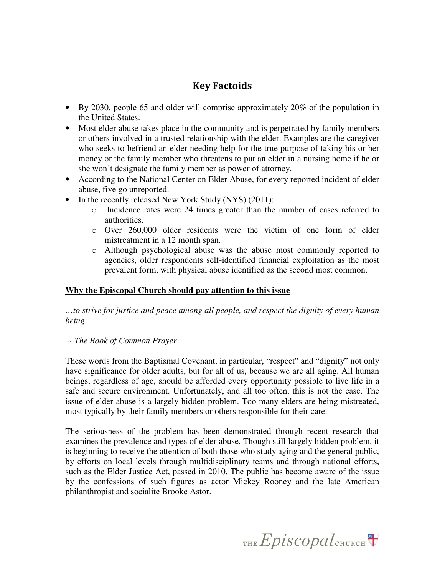## Key Factoids

- By 2030, people 65 and older will comprise approximately 20% of the population in the United States.
- Most elder abuse takes place in the community and is perpetrated by family members or others involved in a trusted relationship with the elder. Examples are the caregiver who seeks to befriend an elder needing help for the true purpose of taking his or her money or the family member who threatens to put an elder in a nursing home if he or she won't designate the family member as power of attorney.
- According to the National Center on Elder Abuse, for every reported incident of elder abuse, five go unreported.
- In the recently released New York Study (NYS) (2011):
	- o Incidence rates were 24 times greater than the number of cases referred to authorities.
	- o Over 260,000 older residents were the victim of one form of elder mistreatment in a 12 month span.
	- o Although psychological abuse was the abuse most commonly reported to agencies, older respondents self-identified financial exploitation as the most prevalent form, with physical abuse identified as the second most common.

### **Why the Episcopal Church should pay attention to this issue**

*…to strive for justice and peace among all people, and respect the dignity of every human being* 

 *~ The Book of Common Prayer* 

These words from the Baptismal Covenant, in particular, "respect" and "dignity" not only have significance for older adults, but for all of us, because we are all aging. All human beings, regardless of age, should be afforded every opportunity possible to live life in a safe and secure environment. Unfortunately, and all too often, this is not the case. The issue of elder abuse is a largely hidden problem. Too many elders are being mistreated, most typically by their family members or others responsible for their care.

The seriousness of the problem has been demonstrated through recent research that examines the prevalence and types of elder abuse. Though still largely hidden problem, it is beginning to receive the attention of both those who study aging and the general public, by efforts on local levels through multidisciplinary teams and through national efforts, such as the Elder Justice Act, passed in 2010. The public has become aware of the issue by the confessions of such figures as actor Mickey Rooney and the late American philanthropist and socialite Brooke Astor.

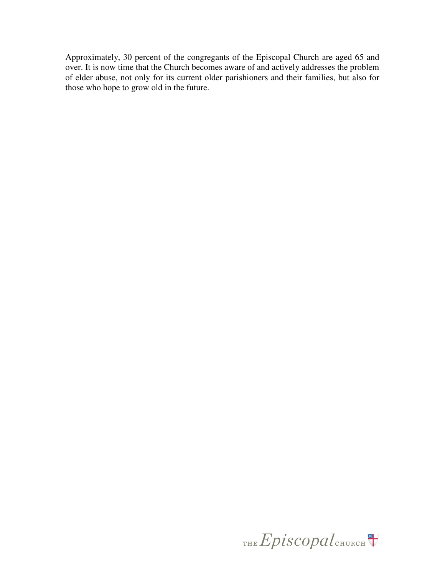Approximately, 30 percent of the congregants of the Episcopal Church are aged 65 and over. It is now time that the Church becomes aware of and actively addresses the problem of elder abuse, not only for its current older parishioners and their families, but also for those who hope to grow old in the future.

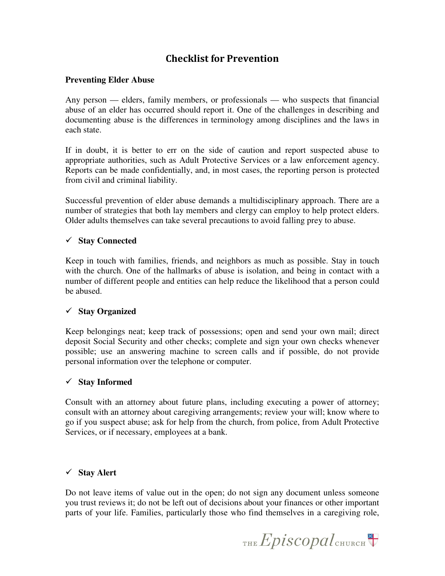## Checklist for Prevention

### **Preventing Elder Abuse**

Any person — elders, family members, or professionals — who suspects that financial abuse of an elder has occurred should report it. One of the challenges in describing and documenting abuse is the differences in terminology among disciplines and the laws in each state.

If in doubt, it is better to err on the side of caution and report suspected abuse to appropriate authorities, such as Adult Protective Services or a law enforcement agency. Reports can be made confidentially, and, in most cases, the reporting person is protected from civil and criminal liability.

Successful prevention of elder abuse demands a multidisciplinary approach. There are a number of strategies that both lay members and clergy can employ to help protect elders. Older adults themselves can take several precautions to avoid falling prey to abuse.

### **Stay Connected**

Keep in touch with families, friends, and neighbors as much as possible. Stay in touch with the church. One of the hallmarks of abuse is isolation, and being in contact with a number of different people and entities can help reduce the likelihood that a person could be abused.

### **Stay Organized**

Keep belongings neat; keep track of possessions; open and send your own mail; direct deposit Social Security and other checks; complete and sign your own checks whenever possible; use an answering machine to screen calls and if possible, do not provide personal information over the telephone or computer.

### **Stay Informed**

Consult with an attorney about future plans, including executing a power of attorney; consult with an attorney about caregiving arrangements; review your will; know where to go if you suspect abuse; ask for help from the church, from police, from Adult Protective Services, or if necessary, employees at a bank.

### **Stay Alert**

Do not leave items of value out in the open; do not sign any document unless someone you trust reviews it; do not be left out of decisions about your finances or other important parts of your life. Families, particularly those who find themselves in a caregiving role,

THE  $Epis copal$ <sub>CHURCH</sub>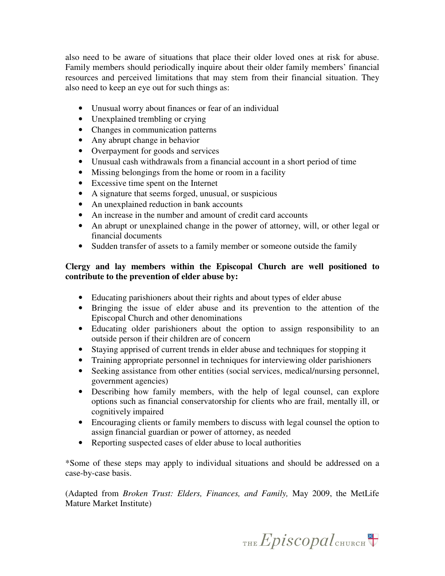also need to be aware of situations that place their older loved ones at risk for abuse. Family members should periodically inquire about their older family members' financial resources and perceived limitations that may stem from their financial situation. They also need to keep an eye out for such things as:

- Unusual worry about finances or fear of an individual
- Unexplained trembling or crying
- Changes in communication patterns
- Any abrupt change in behavior
- Overpayment for goods and services
- Unusual cash withdrawals from a financial account in a short period of time
- Missing belongings from the home or room in a facility
- Excessive time spent on the Internet
- A signature that seems forged, unusual, or suspicious
- An unexplained reduction in bank accounts
- An increase in the number and amount of credit card accounts
- An abrupt or unexplained change in the power of attorney, will, or other legal or financial documents
- Sudden transfer of assets to a family member or someone outside the family

### **Clergy and lay members within the Episcopal Church are well positioned to contribute to the prevention of elder abuse by:**

- Educating parishioners about their rights and about types of elder abuse
- Bringing the issue of elder abuse and its prevention to the attention of the Episcopal Church and other denominations
- Educating older parishioners about the option to assign responsibility to an outside person if their children are of concern
- Staying apprised of current trends in elder abuse and techniques for stopping it
- Training appropriate personnel in techniques for interviewing older parishioners
- Seeking assistance from other entities (social services, medical/nursing personnel, government agencies)
- Describing how family members, with the help of legal counsel, can explore options such as financial conservatorship for clients who are frail, mentally ill, or cognitively impaired
- Encouraging clients or family members to discuss with legal counsel the option to assign financial guardian or power of attorney, as needed
- Reporting suspected cases of elder abuse to local authorities

\*Some of these steps may apply to individual situations and should be addressed on a case-by-case basis.

(Adapted from *Broken Trust: Elders, Finances, and Family,* May 2009, the MetLife Mature Market Institute)

THE  $Epis copal$ <sub>CHURCH</sub>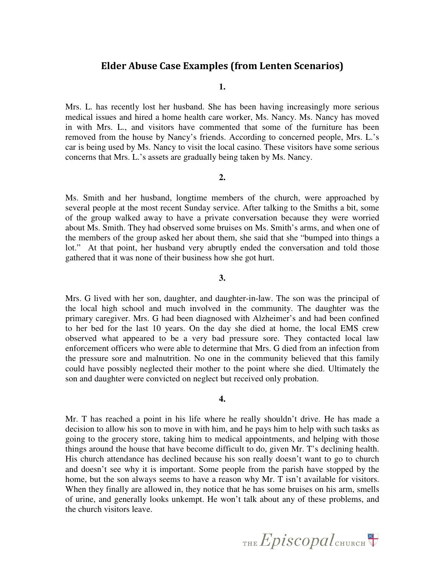### Elder Abuse Case Examples (from Lenten Scenarios)

**1.** 

Mrs. L. has recently lost her husband. She has been having increasingly more serious medical issues and hired a home health care worker, Ms. Nancy. Ms. Nancy has moved in with Mrs. L., and visitors have commented that some of the furniture has been removed from the house by Nancy's friends. According to concerned people, Mrs. L.'s car is being used by Ms. Nancy to visit the local casino. These visitors have some serious concerns that Mrs. L.'s assets are gradually being taken by Ms. Nancy.

#### **2.**

Ms. Smith and her husband, longtime members of the church, were approached by several people at the most recent Sunday service. After talking to the Smiths a bit, some of the group walked away to have a private conversation because they were worried about Ms. Smith. They had observed some bruises on Ms. Smith's arms, and when one of the members of the group asked her about them, she said that she "bumped into things a lot." At that point, her husband very abruptly ended the conversation and told those gathered that it was none of their business how she got hurt.

#### **3.**

Mrs. G lived with her son, daughter, and daughter-in-law. The son was the principal of the local high school and much involved in the community. The daughter was the primary caregiver. Mrs. G had been diagnosed with Alzheimer's and had been confined to her bed for the last 10 years. On the day she died at home, the local EMS crew observed what appeared to be a very bad pressure sore. They contacted local law enforcement officers who were able to determine that Mrs. G died from an infection from the pressure sore and malnutrition. No one in the community believed that this family could have possibly neglected their mother to the point where she died. Ultimately the son and daughter were convicted on neglect but received only probation.

#### **4.**

Mr. T has reached a point in his life where he really shouldn't drive. He has made a decision to allow his son to move in with him, and he pays him to help with such tasks as going to the grocery store, taking him to medical appointments, and helping with those things around the house that have become difficult to do, given Mr. T's declining health. His church attendance has declined because his son really doesn't want to go to church and doesn't see why it is important. Some people from the parish have stopped by the home, but the son always seems to have a reason why Mr. T isn't available for visitors. When they finally are allowed in, they notice that he has some bruises on his arm, smells of urine, and generally looks unkempt. He won't talk about any of these problems, and the church visitors leave.

THE  $Epis copal$ <sub>CHURCH</sub>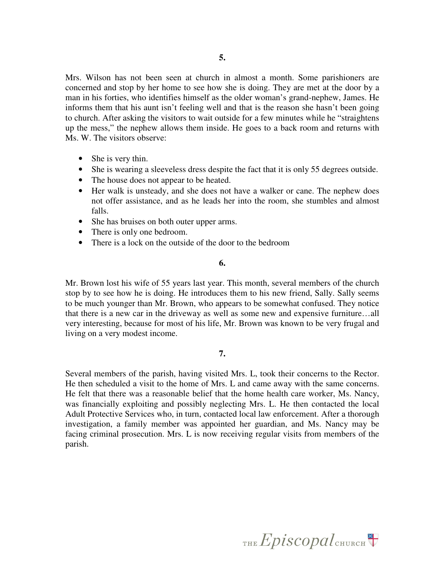Mrs. Wilson has not been seen at church in almost a month. Some parishioners are concerned and stop by her home to see how she is doing. They are met at the door by a man in his forties, who identifies himself as the older woman's grand-nephew, James. He informs them that his aunt isn't feeling well and that is the reason she hasn't been going to church. After asking the visitors to wait outside for a few minutes while he "straightens up the mess," the nephew allows them inside. He goes to a back room and returns with Ms. W. The visitors observe:

- She is very thin.
- She is wearing a sleeveless dress despite the fact that it is only 55 degrees outside.
- The house does not appear to be heated.
- Her walk is unsteady, and she does not have a walker or cane. The nephew does not offer assistance, and as he leads her into the room, she stumbles and almost falls.
- She has bruises on both outer upper arms.
- There is only one bedroom.
- There is a lock on the outside of the door to the bedroom

#### **6.**

Mr. Brown lost his wife of 55 years last year. This month, several members of the church stop by to see how he is doing. He introduces them to his new friend, Sally. Sally seems to be much younger than Mr. Brown, who appears to be somewhat confused. They notice that there is a new car in the driveway as well as some new and expensive furniture…all very interesting, because for most of his life, Mr. Brown was known to be very frugal and living on a very modest income.

#### **7.**

Several members of the parish, having visited Mrs. L, took their concerns to the Rector. He then scheduled a visit to the home of Mrs. L and came away with the same concerns. He felt that there was a reasonable belief that the home health care worker, Ms. Nancy, was financially exploiting and possibly neglecting Mrs. L. He then contacted the local Adult Protective Services who, in turn, contacted local law enforcement. After a thorough investigation, a family member was appointed her guardian, and Ms. Nancy may be facing criminal prosecution. Mrs. L is now receiving regular visits from members of the parish.

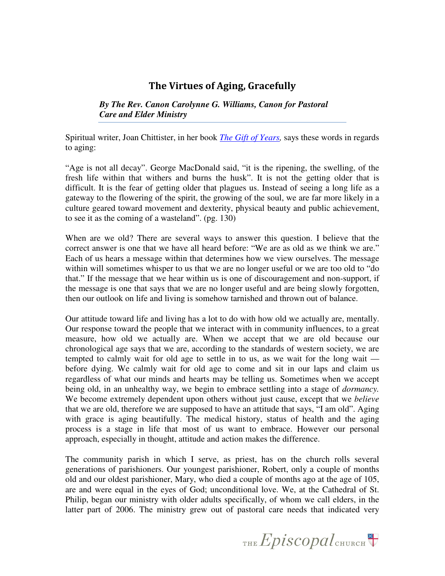## The Virtues of Aging, Gracefully

*By The Rev. Canon Carolynne G. Williams, Canon for Pastoral Care and Elder Ministry* 

Spiritual writer, Joan Chittister, in her book *The Gift of Years,* says these words in regards to aging:

"Age is not all decay". George MacDonald said, "it is the ripening, the swelling, of the fresh life within that withers and burns the husk". It is not the getting older that is difficult. It is the fear of getting older that plagues us. Instead of seeing a long life as a gateway to the flowering of the spirit, the growing of the soul, we are far more likely in a culture geared toward movement and dexterity, physical beauty and public achievement, to see it as the coming of a wasteland". (pg. 130)

When are we old? There are several ways to answer this question. I believe that the correct answer is one that we have all heard before: "We are as old as we think we are." Each of us hears a message within that determines how we view ourselves. The message within will sometimes whisper to us that we are no longer useful or we are too old to "do that." If the message that we hear within us is one of discouragement and non-support, if the message is one that says that we are no longer useful and are being slowly forgotten, then our outlook on life and living is somehow tarnished and thrown out of balance.

Our attitude toward life and living has a lot to do with how old we actually are, mentally. Our response toward the people that we interact with in community influences, to a great measure, how old we actually are. When we accept that we are old because our chronological age says that we are, according to the standards of western society, we are tempted to calmly wait for old age to settle in to us, as we wait for the long wait before dying. We calmly wait for old age to come and sit in our laps and claim us regardless of what our minds and hearts may be telling us. Sometimes when we accept being old, in an unhealthy way, we begin to embrace settling into a stage of *dormancy.* We become extremely dependent upon others without just cause, except that we *believe* that we are old, therefore we are supposed to have an attitude that says, "I am old". Aging with grace is aging beautifully. The medical history, status of health and the aging process is a stage in life that most of us want to embrace. However our personal approach, especially in thought, attitude and action makes the difference.

The community parish in which I serve, as priest, has on the church rolls several generations of parishioners. Our youngest parishioner, Robert, only a couple of months old and our oldest parishioner, Mary, who died a couple of months ago at the age of 105, are and were equal in the eyes of God; unconditional love. We, at the Cathedral of St. Philip, began our ministry with older adults specifically, of whom we call elders, in the latter part of 2006. The ministry grew out of pastoral care needs that indicated very

THE  $Epis copal$ <sub>CHURCH</sub>